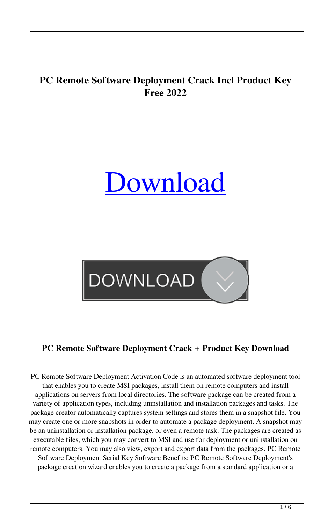## **PC Remote Software Deployment Crack Incl Product Key Free 2022**

# [Download](http://evacdir.com/dialups/ZG93bmxvYWR8Z28zYlc4MGZId3hOalUwTkRNMk5qVTRmSHd5TlRrd2ZId29UU2tnVjI5eVpIQnlaWE56SUZ0WVRVeFNVRU1nVmpJZ1VFUkdYUQ.castellano?UEMgUmVtb3RlIFNvZnR3YXJlIERlcGxveW1lbnQUEM/reay/rigors/concealing)



## **PC Remote Software Deployment Crack + Product Key Download**

PC Remote Software Deployment Activation Code is an automated software deployment tool that enables you to create MSI packages, install them on remote computers and install applications on servers from local directories. The software package can be created from a variety of application types, including uninstallation and installation packages and tasks. The package creator automatically captures system settings and stores them in a snapshot file. You may create one or more snapshots in order to automate a package deployment. A snapshot may be an uninstallation or installation package, or even a remote task. The packages are created as executable files, which you may convert to MSI and use for deployment or uninstallation on remote computers. You may also view, export and export data from the packages. PC Remote Software Deployment Serial Key Software Benefits: PC Remote Software Deployment's package creation wizard enables you to create a package from a standard application or a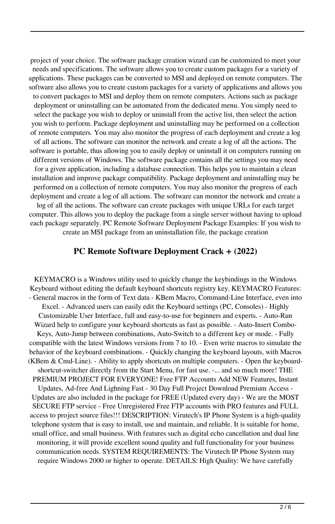project of your choice. The software package creation wizard can be customized to meet your needs and specifications. The software allows you to create custom packages for a variety of applications. These packages can be converted to MSI and deployed on remote computers. The software also allows you to create custom packages for a variety of applications and allows you to convert packages to MSI and deploy them on remote computers. Actions such as package deployment or uninstalling can be automated from the dedicated menu. You simply need to select the package you wish to deploy or uninstall from the active list, then select the action you wish to perform. Package deployment and uninstalling may be performed on a collection of remote computers. You may also monitor the progress of each deployment and create a log of all actions. The software can monitor the network and create a log of all the actions. The software is portable, thus allowing you to easily deploy or uninstall it on computers running on different versions of Windows. The software package contains all the settings you may need for a given application, including a database connection. This helps you to maintain a clean installation and improve package compatibility. Package deployment and uninstalling may be performed on a collection of remote computers. You may also monitor the progress of each deployment and create a log of all actions. The software can monitor the network and create a log of all the actions. The software can create packages with unique URLs for each target computer. This allows you to deploy the package from a single server without having to upload each package separately. PC Remote Software Deployment Package Examples: If you wish to create an MSI package from an uninstallation file, the package creation

#### **PC Remote Software Deployment Crack + (2022)**

KEYMACRO is a Windows utility used to quickly change the keybindings in the Windows Keyboard without editing the default keyboard shortcuts registry key. KEYMACRO Features: - General macros in the form of Text data - KBem Macro, Command-Line Interface, even into Excel. - Advanced users can easily edit the Keyboard settings (PC, Consoles) - Highly Customizable User Interface, full and easy-to-use for beginners and experts. - Auto-Run Wizard help to configure your keyboard shortcuts as fast as possible. - Auto-Insert Combo-Keys, Auto-Jump between combinations, Auto-Switch to a different key or mode. - Fully compatible with the latest Windows versions from 7 to 10. - Even write macros to simulate the behavior of the keyboard combinations. - Quickly changing the keyboard layouts, with Macros (KBem & Cmd-Line). - Ability to apply shortcuts on multiple computers. - Open the keyboardshortcut-switcher directly from the Start Menu, for fast use. -... and so much more! THE PREMIUM PROJECT FOR EVERYONE! Free FTP Accounts Add NEW Features, Instant Updates, Ad-free And Lighning Fast - 30 Day Full Project Download Premium Access - Updates are also included in the package for FREE (Updated every day) - We are the MOST SECURE FTP service - Free Unregistered Free FTP accounts with PRO features and FULL access to project source files!!! DESCRIPTION: Virutech's IP Phone System is a high-quality telephone system that is easy to install, use and maintain, and reliable. It is suitable for home, small office, and small business. With features such as digital echo cancellation and dual line monitoring, it will provide excellent sound quality and full functionality for your business communication needs. SYSTEM REQUIREMENTS: The Virutech IP Phone System may require Windows 2000 or higher to operate. DETAILS: High Quality: We have carefully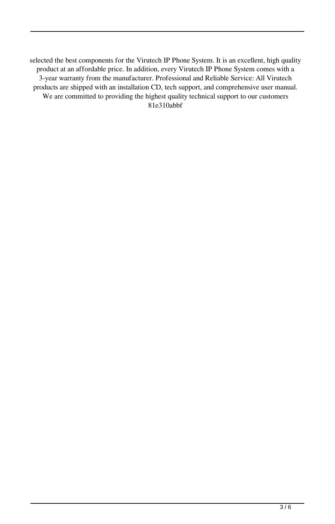selected the best components for the Virutech IP Phone System. It is an excellent, high quality product at an affordable price. In addition, every Virutech IP Phone System comes with a 3-year warranty from the manufacturer. Professional and Reliable Service: All Virutech products are shipped with an installation CD, tech support, and comprehensive user manual. We are committed to providing the highest quality technical support to our customers 81e310abbf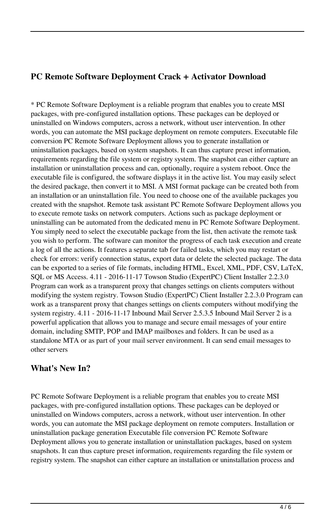#### **PC Remote Software Deployment Crack + Activator Download**

\* PC Remote Software Deployment is a reliable program that enables you to create MSI packages, with pre-configured installation options. These packages can be deployed or uninstalled on Windows computers, across a network, without user intervention. In other words, you can automate the MSI package deployment on remote computers. Executable file conversion PC Remote Software Deployment allows you to generate installation or uninstallation packages, based on system snapshots. It can thus capture preset information, requirements regarding the file system or registry system. The snapshot can either capture an installation or uninstallation process and can, optionally, require a system reboot. Once the executable file is configured, the software displays it in the active list. You may easily select the desired package, then convert it to MSI. A MSI format package can be created both from an installation or an uninstallation file. You need to choose one of the available packages you created with the snapshot. Remote task assistant PC Remote Software Deployment allows you to execute remote tasks on network computers. Actions such as package deployment or uninstalling can be automated from the dedicated menu in PC Remote Software Deployment. You simply need to select the executable package from the list, then activate the remote task you wish to perform. The software can monitor the progress of each task execution and create a log of all the actions. It features a separate tab for failed tasks, which you may restart or check for errors: verify connection status, export data or delete the selected package. The data can be exported to a series of file formats, including HTML, Excel, XML, PDF, CSV, LaTeX, SQL or MS Access. 4.11 - 2016-11-17 Towson Studio (ExpertPC) Client Installer 2.2.3.0 Program can work as a transparent proxy that changes settings on clients computers without modifying the system registry. Towson Studio (ExpertPC) Client Installer 2.2.3.0 Program can work as a transparent proxy that changes settings on clients computers without modifying the system registry. 4.11 - 2016-11-17 Inbound Mail Server 2.5.3.5 Inbound Mail Server 2 is a powerful application that allows you to manage and secure email messages of your entire domain, including SMTP, POP and IMAP mailboxes and folders. It can be used as a standalone MTA or as part of your mail server environment. It can send email messages to other servers

#### **What's New In?**

PC Remote Software Deployment is a reliable program that enables you to create MSI packages, with pre-configured installation options. These packages can be deployed or uninstalled on Windows computers, across a network, without user intervention. In other words, you can automate the MSI package deployment on remote computers. Installation or uninstallation package generation Executable file conversion PC Remote Software Deployment allows you to generate installation or uninstallation packages, based on system snapshots. It can thus capture preset information, requirements regarding the file system or registry system. The snapshot can either capture an installation or uninstallation process and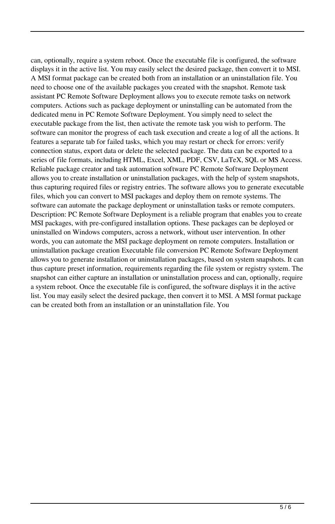can, optionally, require a system reboot. Once the executable file is configured, the software displays it in the active list. You may easily select the desired package, then convert it to MSI. A MSI format package can be created both from an installation or an uninstallation file. You need to choose one of the available packages you created with the snapshot. Remote task assistant PC Remote Software Deployment allows you to execute remote tasks on network computers. Actions such as package deployment or uninstalling can be automated from the dedicated menu in PC Remote Software Deployment. You simply need to select the executable package from the list, then activate the remote task you wish to perform. The software can monitor the progress of each task execution and create a log of all the actions. It features a separate tab for failed tasks, which you may restart or check for errors: verify connection status, export data or delete the selected package. The data can be exported to a series of file formats, including HTML, Excel, XML, PDF, CSV, LaTeX, SQL or MS Access. Reliable package creator and task automation software PC Remote Software Deployment allows you to create installation or uninstallation packages, with the help of system snapshots, thus capturing required files or registry entries. The software allows you to generate executable files, which you can convert to MSI packages and deploy them on remote systems. The software can automate the package deployment or uninstallation tasks or remote computers. Description: PC Remote Software Deployment is a reliable program that enables you to create MSI packages, with pre-configured installation options. These packages can be deployed or uninstalled on Windows computers, across a network, without user intervention. In other words, you can automate the MSI package deployment on remote computers. Installation or uninstallation package creation Executable file conversion PC Remote Software Deployment allows you to generate installation or uninstallation packages, based on system snapshots. It can thus capture preset information, requirements regarding the file system or registry system. The snapshot can either capture an installation or uninstallation process and can, optionally, require a system reboot. Once the executable file is configured, the software displays it in the active list. You may easily select the desired package, then convert it to MSI. A MSI format package can be created both from an installation or an uninstallation file. You